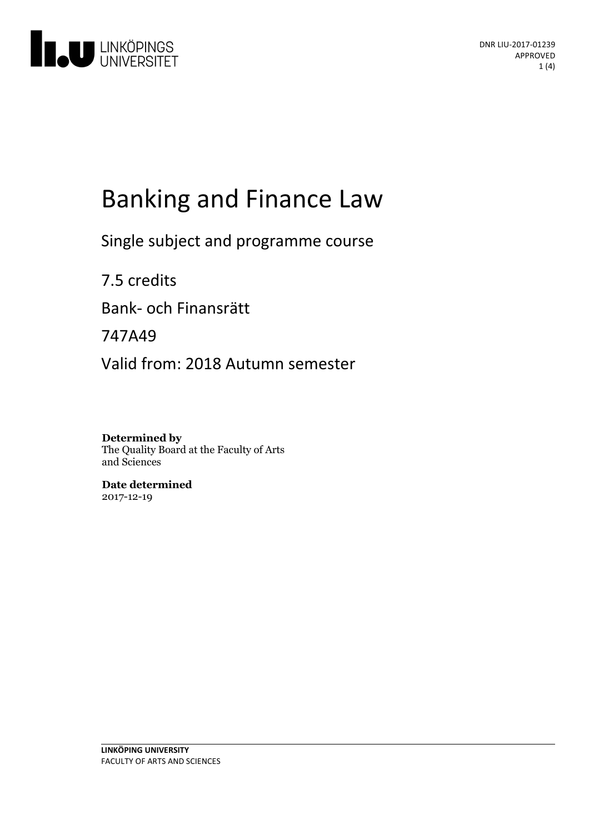

# **Banking and Finance Law**

Single subject and programme course

7.5 credits Bank- och Finansrätt 747A49 Valid from: 2018 Autumn semester

**Determined by** The Quality Board at the Faculty of Arts and Sciences

**Date determined** 2017-12-19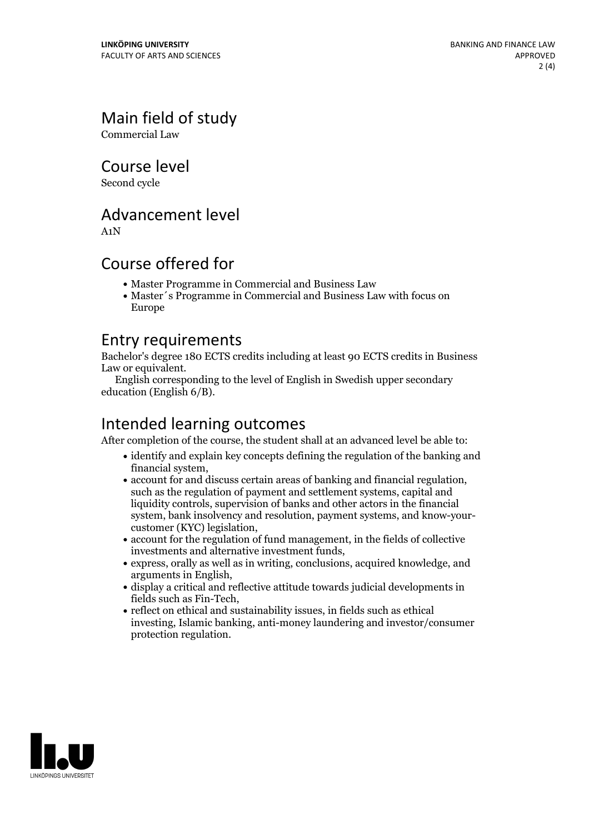## Main field of study

Commercial Law

Course level

Second cycle

#### Advancement level

A1N

#### Course offered for

- Master Programme in Commercial and Business Law
- Master´s Programme in Commercial and Business Law with focus on Europe

#### Entry requirements

Bachelor's degree 180 ECTS credits including at least 90 ECTS credits in Business

English corresponding to the level of English in Swedish upper secondary education (English 6/B).

## Intended learning outcomes

After completion of the course, the student shall at an advanced level be able to:

- identify and explain key concepts defining the regulation of the banking and
- financial system, account for and discuss certain areas of banking and financial regulation, such asthe regulation of payment and settlement systems, capital and liquidity controls, supervision of banks and other actors in the financial system, bank insolvency and resolution, payment systems, and know-your- customer (KYC) legislation,
- account for the regulation of fund management, in the fields of collective
- $\bullet$  express, orally as well as in writing, conclusions, acquired knowledge, and arguments in English,<br>• display a critical and reflective attitude towards judicial developments in
- fields such as Fin-Tech,<br>• reflect on ethical and sustainability issues, in fields such as ethical
- investing, Islamic banking, anti-money laundering and investor/consumer protection regulation.

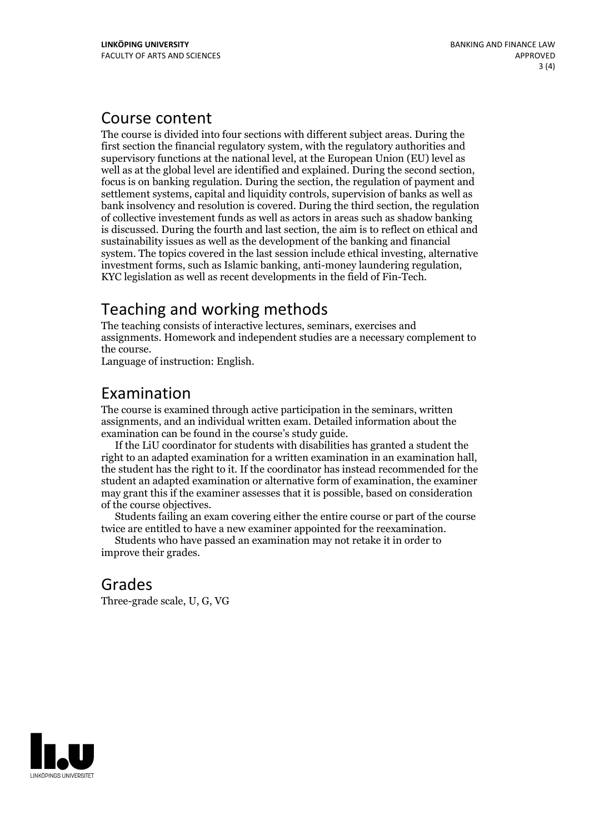#### Course content

The course is divided into four sections with different subject areas. During the first section the financial regulatory system, with the regulatory authorities and supervisory functions at the national level, at the European Union (EU) level as well as at the global level are identified and explained. During the second section, focus is on banking regulation. During the section, the regulation of payment and settlement systems, capital and liquidity controls, supervision of banks as well as bank insolvency and resolution is covered. During the third section, the regulation of collective investement funds as well as actors in areas such as shadow banking is discussed. During the fourth and last section, the aim is to reflect on ethical and sustainability issues as well as the development of the banking and financial system. The topics covered in the last session include ethical investing, alternative investment forms, such as Islamic banking, anti-money laundering regulation, KYC legislation aswell as recent developments in the field of Fin-Tech.

## Teaching and working methods

The teaching consists of interactive lectures, seminars, exercises and assignments. Homework and independent studies are a necessary complement to the course. Language of instruction: English.

### Examination

The course is examined through active participation in the seminars, written assignments, and an individual written exam. Detailed information about the examination can be found in the course's study guide. If the LiU coordinator for students with disabilities has granted <sup>a</sup> student the

right to an adapted examination for <sup>a</sup> written examination in an examination hall, the student has the right to it. If the coordinator has instead recommended for the student an adapted examination or alternative form of examination, the examiner may grant this if the examiner assesses that it is possible, based on consideration of the course objectives. Students failing an exam covering either the entire course or part of the course

twice are entitled to have <sup>a</sup> new examiner appointed for the reexamination. Students who have passed an examination may not retake it in order to

improve their grades.

#### Grades

Three-grade scale, U, G, VG